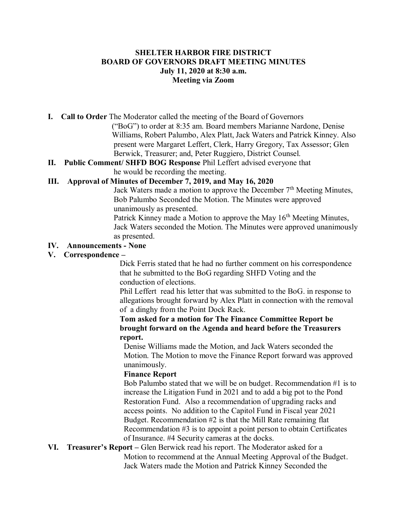## **SHELTER HARBOR FIRE DISTRICT BOARD OF GOVERNORS DRAFT MEETING MINUTES July 11, 2020 at 8:30 a.m. Meeting via Zoom**

**I. Call to Order** The Moderator called the meeting of the Board of Governors

 ("BoG") to order at 8:35 am. Board members Marianne Nardone, Denise Williams, Robert Palumbo, Alex Platt, Jack Waters and Patrick Kinney. Also present were Margaret Leffert, Clerk, Harry Gregory, Tax Assessor; Glen Berwick, Treasurer; and, Peter Ruggiero, District Counsel.

**II. Public Comment/ SHFD BOG Response** Phil Leffert advised everyone that he would be recording the meeting.

# **III. Approval of Minutes of December 7, 2019, and May 16, 2020**

Jack Waters made a motion to approve the December  $7<sup>th</sup>$  Meeting Minutes, Bob Palumbo Seconded the Motion. The Minutes were approved unanimously as presented.

Patrick Kinney made a Motion to approve the May  $16<sup>th</sup>$  Meeting Minutes, Jack Waters seconded the Motion. The Minutes were approved unanimously as presented.

## **IV. Announcements - None**

# **V. Correspondence –**

Dick Ferris stated that he had no further comment on his correspondence that he submitted to the BoG regarding SHFD Voting and the conduction of elections.

 Phil Leffert read his letter that was submitted to the BoG. in response to allegations brought forward by Alex Platt in connection with the removal of a dinghy from the Point Dock Rack.

 **Tom asked for a motion for The Finance Committee Report be brought forward on the Agenda and heard before the Treasurers report.** 

Denise Williams made the Motion, and Jack Waters seconded the Motion. The Motion to move the Finance Report forward was approved unanimously.

### **Finance Report**

Bob Palumbo stated that we will be on budget. Recommendation #1 is to increase the Litigation Fund in 2021 and to add a big pot to the Pond Restoration Fund. Also a recommendation of upgrading racks and access points. No addition to the Capitol Fund in Fiscal year 2021 Budget. Recommendation #2 is that the Mill Rate remaining flat Recommendation #3 is to appoint a point person to obtain Certificates of Insurance. #4 Security cameras at the docks.

**VI. Treasurer's Report –** Glen Berwick read his report. The Moderator asked for a Motion to recommend at the Annual Meeting Approval of the Budget. Jack Waters made the Motion and Patrick Kinney Seconded the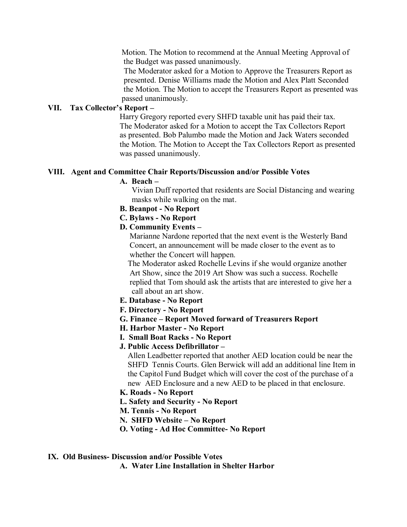Motion. The Motion to recommend at the Annual Meeting Approval of the Budget was passed unanimously.

 The Moderator asked for a Motion to Approve the Treasurers Report as presented. Denise Williams made the Motion and Alex Platt Seconded the Motion. The Motion to accept the Treasurers Report as presented was passed unanimously.

### **VII. Tax Collector's Report –**

Harry Gregory reported every SHFD taxable unit has paid their tax. The Moderator asked for a Motion to accept the Tax Collectors Report as presented. Bob Palumbo made the Motion and Jack Waters seconded the Motion. The Motion to Accept the Tax Collectors Report as presented was passed unanimously.

## **VIII. Agent and Committee Chair Reports/Discussion and/or Possible Votes**

### **A. Beach –**

Vivian Duff reported that residents are Social Distancing and wearing masks while walking on the mat.

- **B. Beanpot - No Report**
- **C. Bylaws - No Report**
- **D. Community Events –**

 Marianne Nardone reported that the next event is the Westerly Band Concert, an announcement will be made closer to the event as to whether the Concert will happen.

 The Moderator asked Rochelle Levins if she would organize another Art Show, since the 2019 Art Show was such a success. Rochelle replied that Tom should ask the artists that are interested to give her a call about an art show.

- **E. Database - No Report**
- **F. Directory - No Report**
- **G. Finance – Report Moved forward of Treasurers Report**
- **H. Harbor Master - No Report**
- **I. Small Boat Racks - No Report**
- **J. Public Access Defibrillator –**

Allen Leadbetter reported that another AED location could be near the SHFD Tennis Courts. Glen Berwick will add an additional line Item in the Capitol Fund Budget which will cover the cost of the purchase of a new AED Enclosure and a new AED to be placed in that enclosure.

# **K. Roads - No Report**

- **L. Safety and Security - No Report**
- **M. Tennis - No Report**
- **N. SHFD Website – No Report**
- **O. Voting - Ad Hoc Committee- No Report**
- **IX. Old Business- Discussion and/or Possible Votes**

**A. Water Line Installation in Shelter Harbor**